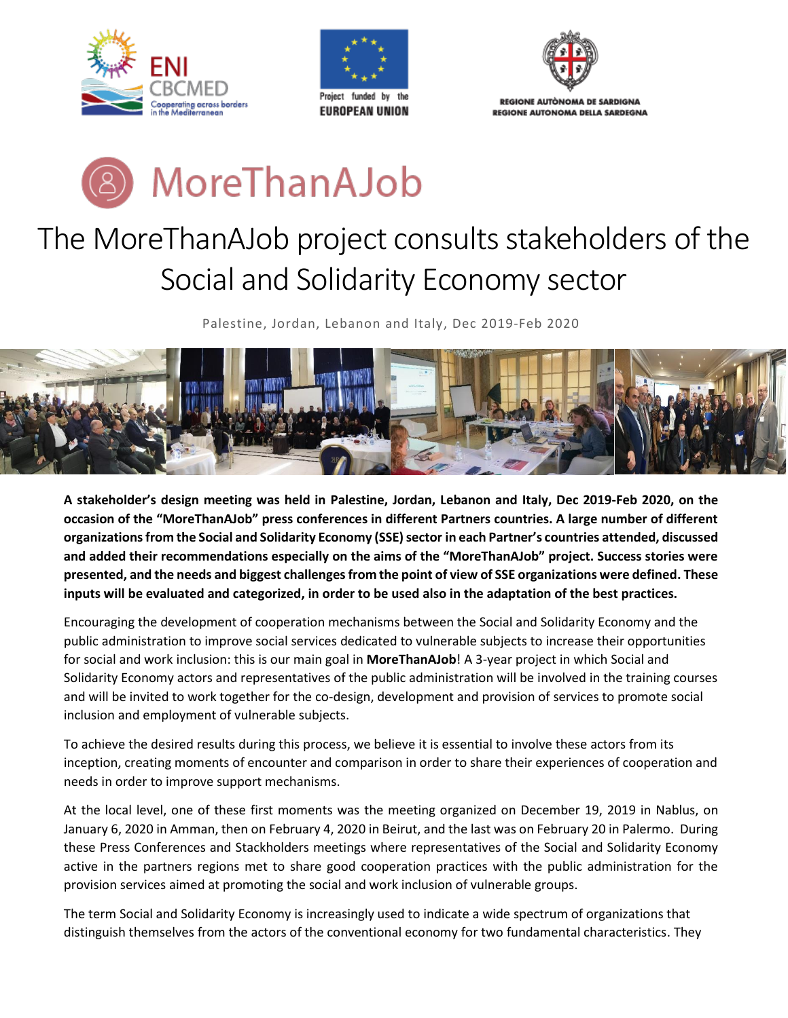







## The MoreThanAJob project consults stakeholders of the Social and Solidarity Economy sector

Palestine, Jordan, Lebanon and Italy, Dec 2019-Feb 2020



**A stakeholder's design meeting was held in Palestine, Jordan, Lebanon and Italy, Dec 2019-Feb 2020, on the occasion of the "MoreThanAJob" press conferences in different Partners countries. A large number of different organizations from the Social and Solidarity Economy (SSE) sector in each Partner's countries attended, discussed and added their recommendations especially on the aims of the "MoreThanAJob" project. Success stories were presented, and the needs and biggest challenges from the point of view of SSE organizations were defined. These inputs will be evaluated and categorized, in order to be used also in the adaptation of the best practices.**

Encouraging the development of cooperation mechanisms between the Social and Solidarity Economy and the public administration to improve social services dedicated to vulnerable subjects to increase their opportunities for social and work inclusion: this is our main goal in **MoreThanAJob**! A 3-year project in which Social and Solidarity Economy actors and representatives of the public administration will be involved in the training courses and will be invited to work together for the co-design, development and provision of services to promote social inclusion and employment of vulnerable subjects.

To achieve the desired results during this process, we believe it is essential to involve these actors from its inception, creating moments of encounter and comparison in order to share their experiences of cooperation and needs in order to improve support mechanisms.

At the local level, one of these first moments was the meeting organized on December 19, 2019 in Nablus, on January 6, 2020 in Amman, then on February 4, 2020 in Beirut, and the last was on February 20 in Palermo. During these Press Conferences and Stackholders meetings where representatives of the Social and Solidarity Economy active in the partners regions met to share good cooperation practices with the public administration for the provision services aimed at promoting the social and work inclusion of vulnerable groups.

The term Social and Solidarity Economy is increasingly used to indicate a wide spectrum of organizations that distinguish themselves from the actors of the conventional economy for two fundamental characteristics. They